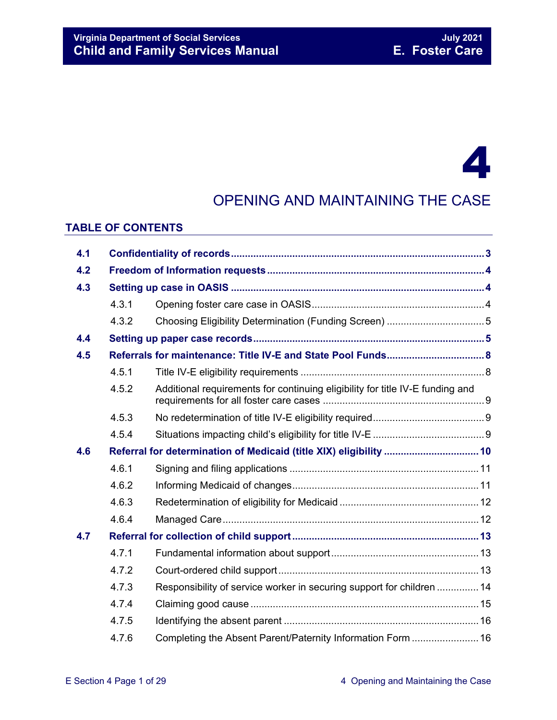## 4

## OPENING AND MAINTAINING THE CASE

#### **TABLE OF CONTENTS**

| 4.1 |                                                              |                                                                               |  |  |
|-----|--------------------------------------------------------------|-------------------------------------------------------------------------------|--|--|
| 4.2 |                                                              |                                                                               |  |  |
| 4.3 |                                                              |                                                                               |  |  |
|     | 4.3.1                                                        |                                                                               |  |  |
|     | 4.3.2                                                        |                                                                               |  |  |
| 4.4 |                                                              |                                                                               |  |  |
| 4.5 | Referrals for maintenance: Title IV-E and State Pool Funds 8 |                                                                               |  |  |
|     | 4.5.1                                                        |                                                                               |  |  |
|     | 4.5.2                                                        | Additional requirements for continuing eligibility for title IV-E funding and |  |  |
|     | 4.5.3                                                        |                                                                               |  |  |
|     | 4.5.4                                                        |                                                                               |  |  |
| 4.6 |                                                              | Referral for determination of Medicaid (title XIX) eligibility  10            |  |  |
|     | 4.6.1                                                        |                                                                               |  |  |
|     | 4.6.2                                                        |                                                                               |  |  |
|     | 4.6.3                                                        |                                                                               |  |  |
|     | 4.6.4                                                        |                                                                               |  |  |
| 4.7 |                                                              |                                                                               |  |  |
|     | 4.7.1                                                        |                                                                               |  |  |
|     | 4.7.2                                                        |                                                                               |  |  |
|     | 4.7.3                                                        | Responsibility of service worker in securing support for children  14         |  |  |
|     | 4.7.4                                                        |                                                                               |  |  |
|     | 4.7.5                                                        |                                                                               |  |  |
|     | 4.7.6                                                        | Completing the Absent Parent/Paternity Information Form  16                   |  |  |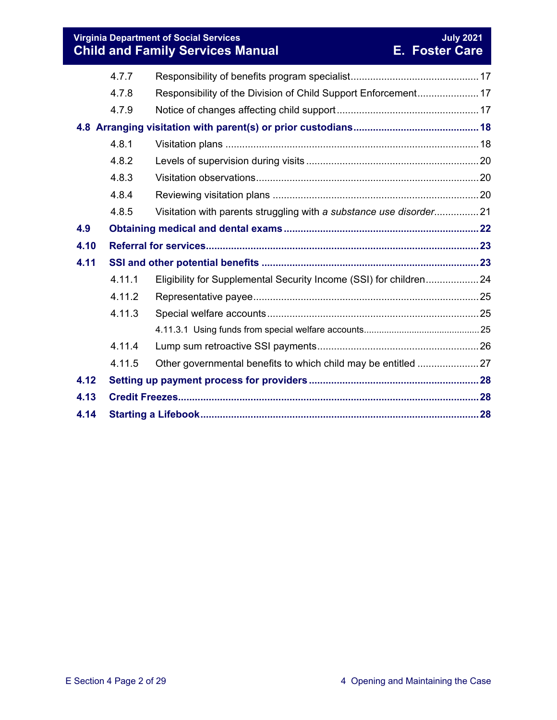#### **Virginia Department of Social Services July 2021 Child and Family Services Manual E. Foster Care**

|      | 4.7.7  |                                                                    |  |  |
|------|--------|--------------------------------------------------------------------|--|--|
|      | 4.7.8  | Responsibility of the Division of Child Support Enforcement 17     |  |  |
|      | 4.7.9  |                                                                    |  |  |
|      |        |                                                                    |  |  |
|      |        |                                                                    |  |  |
|      | 4.8.1  |                                                                    |  |  |
|      | 4.8.2  |                                                                    |  |  |
|      | 4.8.3  |                                                                    |  |  |
|      | 4.8.4  |                                                                    |  |  |
|      | 4.8.5  | Visitation with parents struggling with a substance use disorder21 |  |  |
| 4.9  |        |                                                                    |  |  |
| 4.10 |        |                                                                    |  |  |
| 4.11 |        |                                                                    |  |  |
|      | 4.11.1 | Eligibility for Supplemental Security Income (SSI) for children 24 |  |  |
|      | 4.11.2 |                                                                    |  |  |
|      | 4.11.3 |                                                                    |  |  |
|      |        |                                                                    |  |  |
|      | 4.11.4 |                                                                    |  |  |
|      | 4.11.5 |                                                                    |  |  |
| 4.12 |        |                                                                    |  |  |
| 4.13 |        |                                                                    |  |  |
| 4.14 |        |                                                                    |  |  |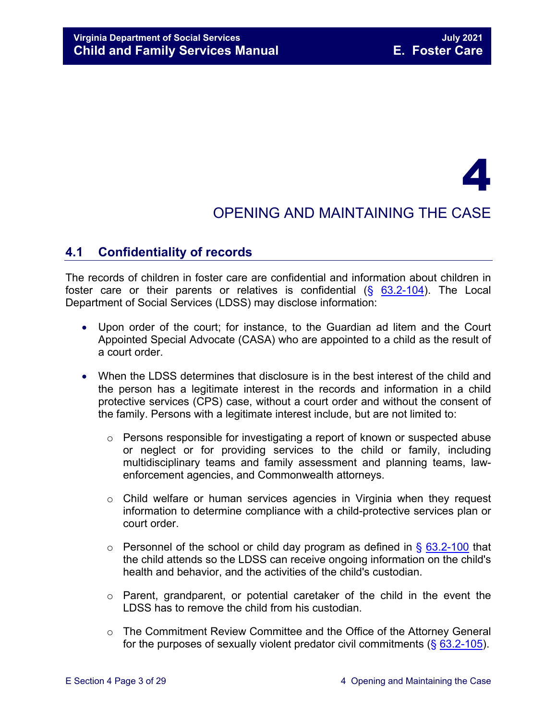# 4

## OPENING AND MAINTAINING THE CASE

## <span id="page-2-0"></span>**4.1 Confidentiality of records**

The records of children in foster care are confidential and information about children in foster care or their parents or relatives is confidential  $(§ 63.2-104)$  $(§ 63.2-104)$ . The Local Department of Social Services (LDSS) may disclose information:

- Upon order of the court; for instance, to the Guardian ad litem and the Court Appointed Special Advocate (CASA) who are appointed to a child as the result of a court order.
- When the LDSS determines that disclosure is in the best interest of the child and the person has a legitimate interest in the records and information in a child protective services (CPS) case, without a court order and without the consent of the family. Persons with a legitimate interest include, but are not limited to:
	- o Persons responsible for investigating a report of known or suspected abuse or neglect or for providing services to the child or family, including multidisciplinary teams and family assessment and planning teams, lawenforcement agencies, and Commonwealth attorneys.
	- $\circ$  Child welfare or human services agencies in Virginia when they request information to determine compliance with a child-protective services plan or court order.
	- $\circ$  Personnel of the school or child day program as defined in § [63.2-100](https://law.lis.virginia.gov/vacode/63.2-100/) that the child attends so the LDSS can receive ongoing information on the child's health and behavior, and the activities of the child's custodian.
	- o Parent, grandparent, or potential caretaker of the child in the event the LDSS has to remove the child from his custodian.
	- o The Commitment Review Committee and the Office of the Attorney General for the purposes of sexually violent predator civil commitments (§ [63.2-105\)](https://law.lis.virginia.gov/vacode/63.2-105/).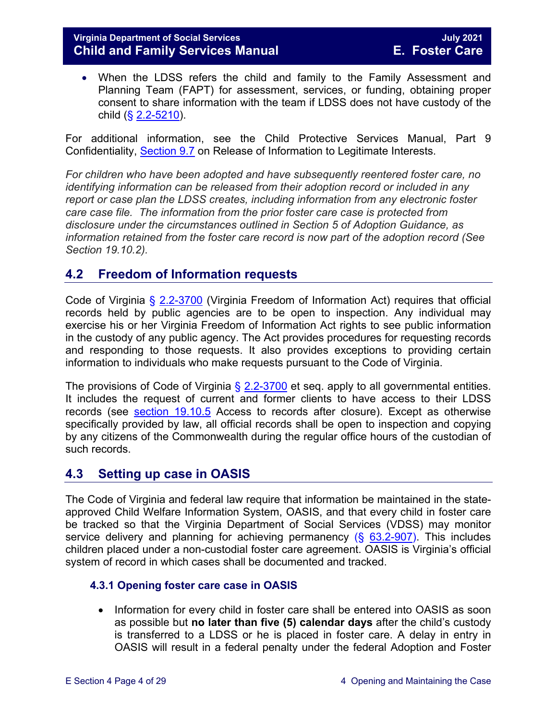• When the LDSS refers the child and family to the Family Assessment and Planning Team (FAPT) for assessment, services, or funding, obtaining proper consent to share information with the team if LDSS does not have custody of the child  $(**§** 2.2-5210)$  $(**§** 2.2-5210)$ .

For additional information, see the Child Protective Services Manual, Part 9 Confidentiality, [Section 9.7](https://fusion.dss.virginia.gov/Portals/%5Bdfs%5D/Files/DFS%20Manuals/CPS%20Manuals/Manual--2019/section_9_confidentiality%20August%202019.pdf#page=19) on Release of Information to Legitimate Interests.

*For children who have been adopted and have subsequently reentered foster care, no identifying information can be released from their adoption record or included in any report or case plan the LDSS creates, including information from any electronic foster care case file. The information from the prior foster care case is protected from disclosure under the circumstances outlined in Section 5 of Adoption Guidance, as information retained from the foster care record is now part of the adoption record (See Section 19.10.2).*

## <span id="page-3-0"></span>**4.2 Freedom of Information requests**

Code of Virginia § [2.2-3700](https://law.lis.virginia.gov/vacode/2.2-3700/) (Virginia Freedom of Information Act) requires that official records held by public agencies are to be open to inspection. Any individual may exercise his or her Virginia Freedom of Information Act rights to see public information in the custody of any public agency. The Act provides procedures for requesting records and responding to those requests. It also provides exceptions to providing certain information to individuals who make requests pursuant to the Code of Virginia.

The provisions of Code of Virginia  $\S$  [2.2-3700](https://law.lis.virginia.gov/vacode/2.2-3700/) et seq. apply to all governmental entities. It includes the request of current and former clients to have access to their LDSS records (see [section 19.10.5](https://fusion.dss.virginia.gov/Portals/%5bdfs%5d/Files/DFS%20Manuals/Foster%20Care%20Manuals/Foster%20Care%20Manual%2007-2020/Final%20Foster%20Care%20Manual%2007-2020/section_19_closing_a_case_to_foster_care.pdf#page=6) Access to records after closure). Except as otherwise specifically provided by law, all official records shall be open to inspection and copying by any citizens of the Commonwealth during the regular office hours of the custodian of such records.

## <span id="page-3-1"></span>**4.3 Setting up case in OASIS**

The Code of Virginia and federal law require that information be maintained in the stateapproved Child Welfare Information System, OASIS, and that every child in foster care be tracked so that the Virginia Department of Social Services (VDSS) may monitor service delivery and planning for achieving permanency  $(\S$  [63.2-907\)](https://law.lis.virginia.gov/vacode/63.2-907/). This includes children placed under a non-custodial foster care agreement. OASIS is Virginia's official system of record in which cases shall be documented and tracked.

#### <span id="page-3-2"></span>**4.3.1 Opening foster care case in OASIS**

• Information for every child in foster care shall be entered into OASIS as soon as possible but **no later than five (5) calendar days** after the child's custody is transferred to a LDSS or he is placed in foster care. A delay in entry in OASIS will result in a federal penalty under the federal Adoption and Foster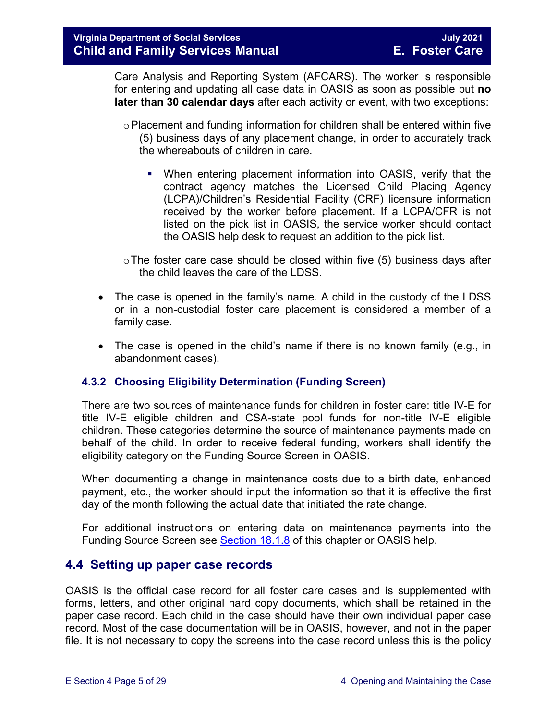Care Analysis and Reporting System (AFCARS). The worker is responsible for entering and updating all case data in OASIS as soon as possible but **no later than 30 calendar days** after each activity or event, with two exceptions:

- $\circ$  Placement and funding information for children shall be entered within five (5) business days of any placement change, in order to accurately track the whereabouts of children in care.
	- When entering placement information into OASIS, verify that the contract agency matches the Licensed Child Placing Agency (LCPA)/Children's Residential Facility (CRF) licensure information received by the worker before placement. If a LCPA/CFR is not listed on the pick list in OASIS, the service worker should contact the OASIS help desk to request an addition to the pick list.
- $\circ$  The foster care case should be closed within five (5) business days after the child leaves the care of the LDSS.
- The case is opened in the family's name. A child in the custody of the LDSS or in a non-custodial foster care placement is considered a member of a family case.
- The case is opened in the child's name if there is no known family (e.g., in abandonment cases).

#### <span id="page-4-0"></span>**4.3.2 Choosing Eligibility Determination (Funding Screen)**

There are two sources of maintenance funds for children in foster care: title IV-E for title IV-E eligible children and CSA-state pool funds for non-title IV-E eligible children. These categories determine the source of maintenance payments made on behalf of the child. In order to receive federal funding, workers shall identify the eligibility category on the Funding Source Screen in OASIS.

When documenting a change in maintenance costs due to a birth date, enhanced payment, etc., the worker should input the information so that it is effective the first day of the month following the actual date that initiated the rate change.

For additional instructions on entering data on maintenance payments into the Funding Source Screen see [Section 18.1.8](https://fusion.dss.virginia.gov/Portals/%5bdfs%5d/Files/DFS%20Manuals/Foster%20Care%20Manuals/Foster%20Care%20Manual%2007-2020/Final%20Foster%20Care%20Manual%2007-2020/section_18_funding_maintenance_costs.pdf#page=9) of this chapter or OASIS help.

#### <span id="page-4-1"></span>**4.4 Setting up paper case records**

OASIS is the official case record for all foster care cases and is supplemented with forms, letters, and other original hard copy documents, which shall be retained in the paper case record. Each child in the case should have their own individual paper case record. Most of the case documentation will be in OASIS, however, and not in the paper file. It is not necessary to copy the screens into the case record unless this is the policy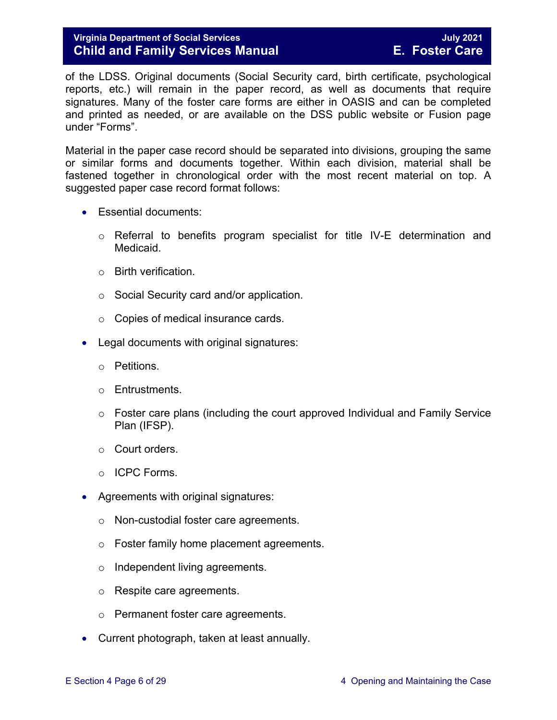of the LDSS. Original documents (Social Security card, birth certificate, psychological reports, etc.) will remain in the paper record, as well as documents that require signatures. Many of the foster care forms are either in OASIS and can be completed and printed as needed, or are available on the DSS public website or Fusion page under "Forms".

Material in the paper case record should be separated into divisions, grouping the same or similar forms and documents together. Within each division, material shall be fastened together in chronological order with the most recent material on top. A suggested paper case record format follows:

- Essential documents:
	- o Referral to benefits program specialist for title IV-E determination and Medicaid.
	- o Birth verification.
	- o Social Security card and/or application.
	- o Copies of medical insurance cards.
- Legal documents with original signatures:
	- o Petitions.
	- o Entrustments.
	- $\circ$  Foster care plans (including the court approved Individual and Family Service Plan (IFSP).
	- o Court orders.
	- o ICPC Forms.
- Agreements with original signatures:
	- o Non-custodial foster care agreements.
	- o Foster family home placement agreements.
	- o Independent living agreements.
	- o Respite care agreements.
	- o Permanent foster care agreements.
- Current photograph, taken at least annually.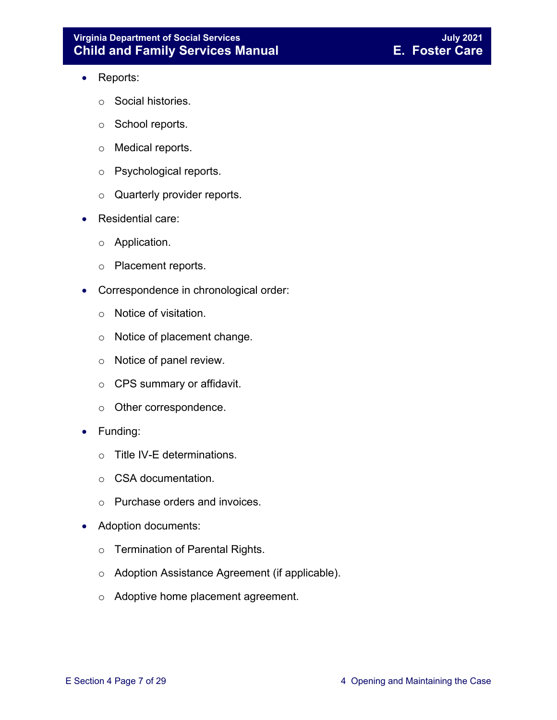#### **Virginia Department of Social Services July 2021 Child and Family Services Manual**

- Reports:
	- o Social histories.
	- o School reports.
	- o Medical reports.
	- o Psychological reports.
	- o Quarterly provider reports.
- Residential care:
	- o Application.
	- o Placement reports.
- Correspondence in chronological order:
	- o Notice of visitation.
	- o Notice of placement change.
	- o Notice of panel review.
	- o CPS summary or affidavit.
	- o Other correspondence.
- Funding:
	- o Title IV-E determinations.
	- o CSA documentation.
	- o Purchase orders and invoices.
- Adoption documents:
	- o Termination of Parental Rights.
	- o Adoption Assistance Agreement (if applicable).
	- o Adoptive home placement agreement.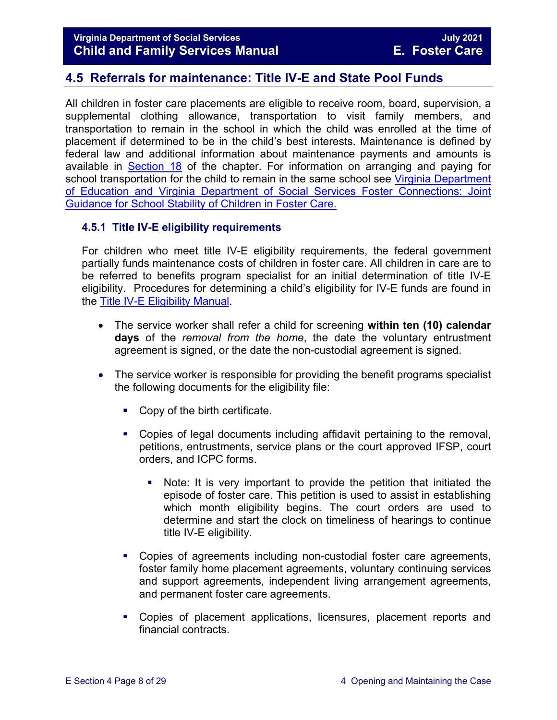## <span id="page-7-0"></span>**4.5 Referrals for maintenance: Title IV-E and State Pool Funds**

All children in foster care placements are eligible to receive room, board, supervision, a supplemental clothing allowance, transportation to visit family members, and transportation to remain in the school in which the child was enrolled at the time of placement if determined to be in the child's best interests. Maintenance is defined by federal law and additional information about maintenance payments and amounts is available in [Section 18](https://fusion.dss.virginia.gov/Portals/%5bdfs%5d/Files/DFS%20Manuals/Foster%20Care%20Manuals/Foster%20Care%20Manual%2007-2020/Final%20Foster%20Care%20Manual%2007-2020/section_18_funding_maintenance_costs.pdf) of the chapter. For information on arranging and paying for school transportation for the child to remain in the same school see Virginia Department [of Education and Virginia Department of Social Services Foster Connections: Joint](https://fusion.dss.virginia.gov/Portals/%5Bdfs%5D/Files/Foster%20Care/Joint%20Guidance/VDOE%20VDSS%20-%20Joint%20Guidance%20for%20School%20Stability%20of%20Children%20Youth%20in%20FC.pdf)  [Guidance for School Stability of Children in Foster Care.](https://fusion.dss.virginia.gov/Portals/%5Bdfs%5D/Files/Foster%20Care/Joint%20Guidance/VDOE%20VDSS%20-%20Joint%20Guidance%20for%20School%20Stability%20of%20Children%20Youth%20in%20FC.pdf) 

#### <span id="page-7-1"></span>**4.5.1 Title IV-E eligibility requirements**

For children who meet title IV-E eligibility requirements, the federal government partially funds maintenance costs of children in foster care. All children in care are to be referred to benefits program specialist for an initial determination of title IV-E eligibility. Procedures for determining a child's eligibility for IV-E funds are found in the [Title IV-E Eligibility Manual.](https://fusion.dss.virginia.gov/dfs/DFS-Home/Title-IV-E/Title-IV-E-Guidance)

- The service worker shall refer a child for screening **within ten (10) calendar days** of the *removal from the home*, the date the voluntary entrustment agreement is signed, or the date the non-custodial agreement is signed.
- The service worker is responsible for providing the benefit programs specialist the following documents for the eligibility file:
	- Copy of the birth certificate.
	- Copies of legal documents including affidavit pertaining to the removal, petitions, entrustments, service plans or the court approved IFSP, court orders, and ICPC forms.
		- Note: It is very important to provide the petition that initiated the episode of foster care. This petition is used to assist in establishing which month eligibility begins. The court orders are used to determine and start the clock on timeliness of hearings to continue title IV-E eligibility.
	- Copies of agreements including non-custodial foster care agreements, foster family home placement agreements, voluntary continuing services and support agreements, independent living arrangement agreements, and permanent foster care agreements.
	- Copies of placement applications, licensures, placement reports and financial contracts.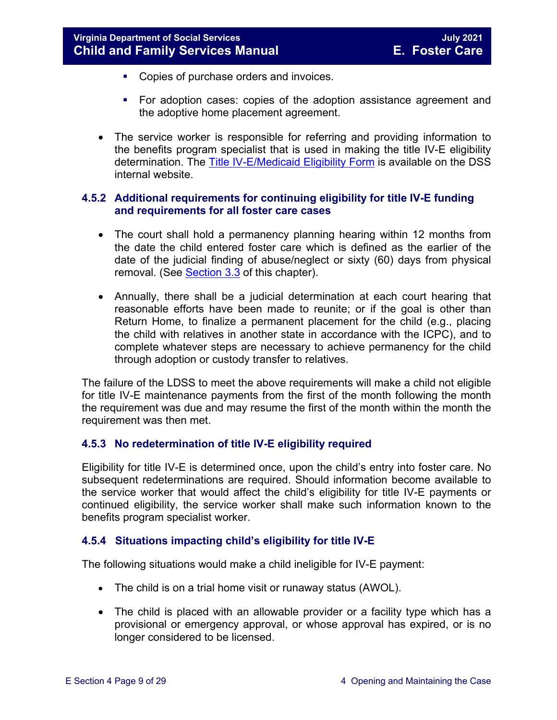- **Copies of purchase orders and invoices.**
- **For adoption cases: copies of the adoption assistance agreement and** the adoptive home placement agreement.
- The service worker is responsible for referring and providing information to the benefits program specialist that is used in making the title IV-E eligibility determination. The [Title IV-E/Medicaid Eligibility Form](https://fusion.dss.virginia.gov/dfs/DFS-Home/Title-IV-E/Title-IV-E-Forms) is available on the DSS internal website.

#### <span id="page-8-0"></span>**4.5.2 Additional requirements for continuing eligibility for title IV-E funding and requirements for all foster care cases**

- The court shall hold a permanency planning hearing within 12 months from the date the child entered foster care which is defined as the earlier of the date of the judicial finding of abuse/neglect or sixty (60) days from physical removal. (See [Section 3.3](https://fusion.dss.virginia.gov/Portals/%5bdfs%5d/Files/DFS%20Manuals/Foster%20Care%20Manuals/Foster%20Care%20Manual%2007-2020/Final%20Foster%20Care%20Manual%2007-2020/section_3_entering_foster_care.pdf#page=3) of this chapter).
- Annually, there shall be a judicial determination at each court hearing that reasonable efforts have been made to reunite; or if the goal is other than Return Home, to finalize a permanent placement for the child (e.g., placing the child with relatives in another state in accordance with the ICPC), and to complete whatever steps are necessary to achieve permanency for the child through adoption or custody transfer to relatives.

The failure of the LDSS to meet the above requirements will make a child not eligible for title IV-E maintenance payments from the first of the month following the month the requirement was due and may resume the first of the month within the month the requirement was then met.

#### <span id="page-8-1"></span>**4.5.3 No redetermination of title IV-E eligibility required**

Eligibility for title IV-E is determined once, upon the child's entry into foster care. No subsequent redeterminations are required. Should information become available to the service worker that would affect the child's eligibility for title IV-E payments or continued eligibility, the service worker shall make such information known to the benefits program specialist worker.

#### <span id="page-8-2"></span>**4.5.4 Situations impacting child's eligibility for title IV-E**

The following situations would make a child ineligible for IV-E payment:

- The child is on a trial home visit or runaway status (AWOL).
- The child is placed with an allowable provider or a facility type which has a provisional or emergency approval, or whose approval has expired, or is no longer considered to be licensed.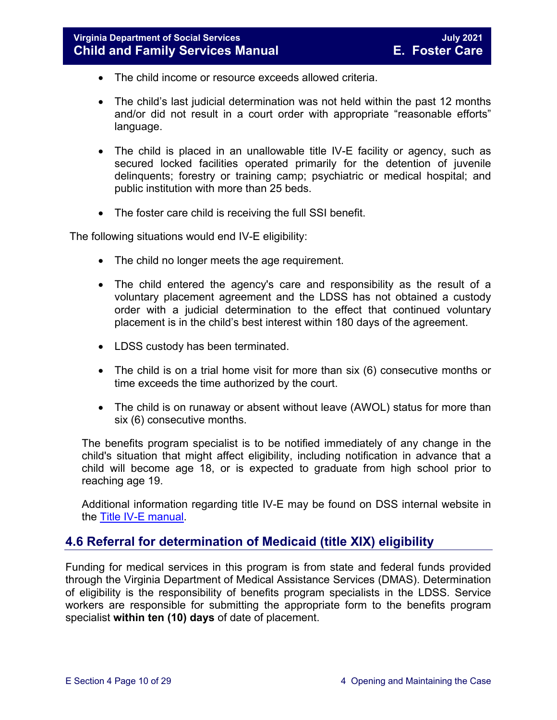- The child income or resource exceeds allowed criteria.
- The child's last judicial determination was not held within the past 12 months and/or did not result in a court order with appropriate "reasonable efforts" language.
- The child is placed in an unallowable title IV-E facility or agency, such as secured locked facilities operated primarily for the detention of juvenile delinquents; forestry or training camp; psychiatric or medical hospital; and public institution with more than 25 beds.
- The foster care child is receiving the full SSI benefit.

The following situations would end IV-E eligibility:

- The child no longer meets the age requirement.
- The child entered the agency's care and responsibility as the result of a voluntary placement agreement and the LDSS has not obtained a custody order with a judicial determination to the effect that continued voluntary placement is in the child's best interest within 180 days of the agreement.
- LDSS custody has been terminated.
- The child is on a trial home visit for more than six (6) consecutive months or time exceeds the time authorized by the court.
- The child is on runaway or absent without leave (AWOL) status for more than six (6) consecutive months.

The benefits program specialist is to be notified immediately of any change in the child's situation that might affect eligibility, including notification in advance that a child will become age 18, or is expected to graduate from high school prior to reaching age 19.

Additional information regarding title IV-E may be found on DSS internal website in the [Title IV-E manual.](https://fusion.dss.virginia.gov/dfs/DFS-Home/Title-IV-E/Title-IV-E-Guidance)

## <span id="page-9-0"></span>**4.6 Referral for determination of Medicaid (title XIX) eligibility**

Funding for medical services in this program is from state and federal funds provided through the Virginia Department of Medical Assistance Services (DMAS). Determination of eligibility is the responsibility of benefits program specialists in the LDSS. Service workers are responsible for submitting the appropriate form to the benefits program specialist **within ten (10) days** of date of placement.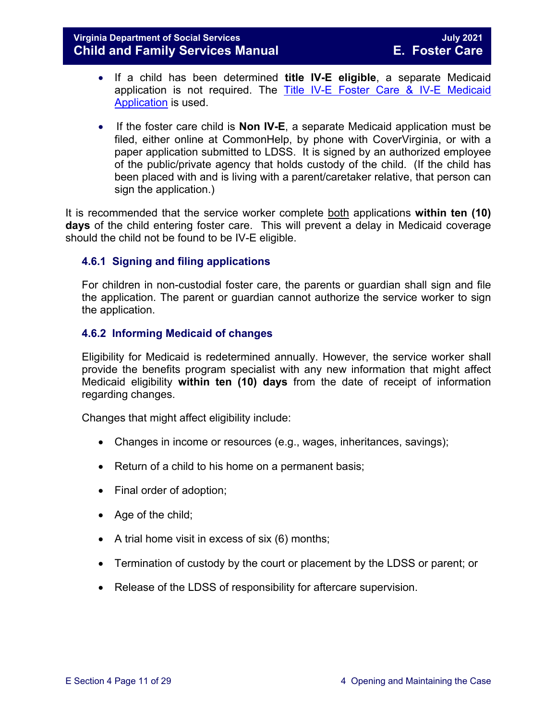#### **Virginia Department of Social Services July 2021 Child and Family Services Manual**

- If a child has been determined **title IV-E eligible**, a separate Medicaid application is not required. The [Title IV-E Foster Care & IV-E Medicaid](https://fusion.dss.virginia.gov/dfs/DFS-Home/Title-IV-E/Title-IV-E-Forms)  [Application](https://fusion.dss.virginia.gov/dfs/DFS-Home/Title-IV-E/Title-IV-E-Forms) is used.
- If the foster care child is **Non IV-E**, a separate Medicaid application must be filed, either online at CommonHelp, by phone with CoverVirginia, or with a paper application submitted to LDSS. It is signed by an authorized employee of the public/private agency that holds custody of the child. (If the child has been placed with and is living with a parent/caretaker relative, that person can sign the application.)

It is recommended that the service worker complete both applications **within ten (10) days** of the child entering foster care. This will prevent a delay in Medicaid coverage should the child not be found to be IV-E eligible.

#### <span id="page-10-0"></span>**4.6.1 Signing and filing applications**

For children in non-custodial foster care, the parents or guardian shall sign and file the application. The parent or guardian cannot authorize the service worker to sign the application.

#### <span id="page-10-1"></span>**4.6.2 Informing Medicaid of changes**

Eligibility for Medicaid is redetermined annually. However, the service worker shall provide the benefits program specialist with any new information that might affect Medicaid eligibility **within ten (10) days** from the date of receipt of information regarding changes.

Changes that might affect eligibility include:

- Changes in income or resources (e.g., wages, inheritances, savings);
- Return of a child to his home on a permanent basis;
- Final order of adoption;
- Age of the child;
- A trial home visit in excess of six  $(6)$  months;
- Termination of custody by the court or placement by the LDSS or parent; or
- Release of the LDSS of responsibility for aftercare supervision.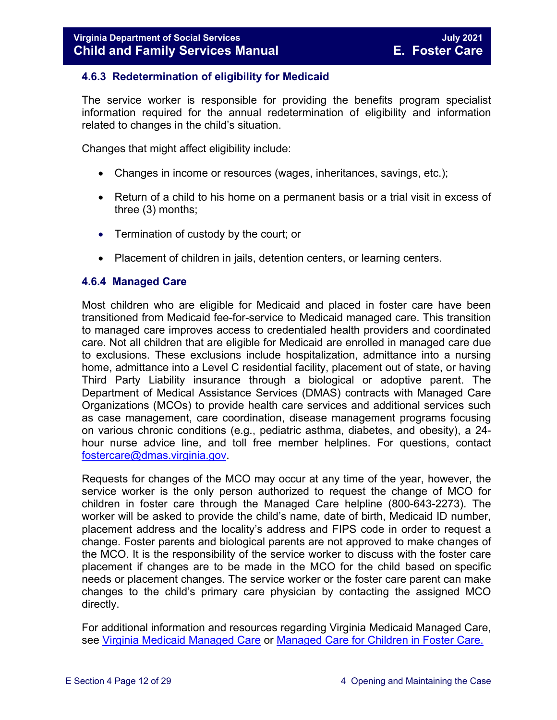#### <span id="page-11-0"></span>**4.6.3 Redetermination of eligibility for Medicaid**

The service worker is responsible for providing the benefits program specialist information required for the annual redetermination of eligibility and information related to changes in the child's situation.

Changes that might affect eligibility include:

- Changes in income or resources (wages, inheritances, savings, etc.);
- Return of a child to his home on a permanent basis or a trial visit in excess of three (3) months;
- Termination of custody by the court; or
- Placement of children in jails, detention centers, or learning centers.

#### <span id="page-11-1"></span>**4.6.4 Managed Care**

Most children who are eligible for Medicaid and placed in foster care have been transitioned from Medicaid fee-for-service to Medicaid managed care. This transition to managed care improves access to credentialed health providers and coordinated care. Not all children that are eligible for Medicaid are enrolled in managed care due to exclusions. These exclusions include hospitalization, admittance into a nursing home, admittance into a Level C residential facility, placement out of state, or having Third Party Liability insurance through a biological or adoptive parent. The Department of Medical Assistance Services (DMAS) contracts with Managed Care Organizations (MCOs) to provide health care services and additional services such as case management, care coordination, disease management programs focusing on various chronic conditions (e.g., pediatric asthma, diabetes, and obesity), a 24 hour nurse advice line, and toll free member helplines. For questions, contact [fostercare@dmas.virginia.gov.](mailto:fostercare@dmas.virginia.gov)

Requests for changes of the MCO may occur at any time of the year, however, the service worker is the only person authorized to request the change of MCO for children in foster care through the Managed Care helpline (800-643-2273). The worker will be asked to provide the child's name, date of birth, Medicaid ID number, placement address and the locality's address and FIPS code in order to request a change. Foster parents and biological parents are not approved to make changes of the MCO. It is the responsibility of the service worker to discuss with the foster care placement if changes are to be made in the MCO for the child based on specific needs or placement changes. The service worker or the foster care parent can make changes to the child's primary care physician by contacting the assigned MCO directly.

For additional information and resources regarding Virginia Medicaid Managed Care, see [Virginia Medicaid Managed Care](http://www.virginiamanagedcare.com/) or Managed Care [for Children in Foster Care.](http://www.dmas.virginia.gov/Content_pgs/ialtc-plt.aspx)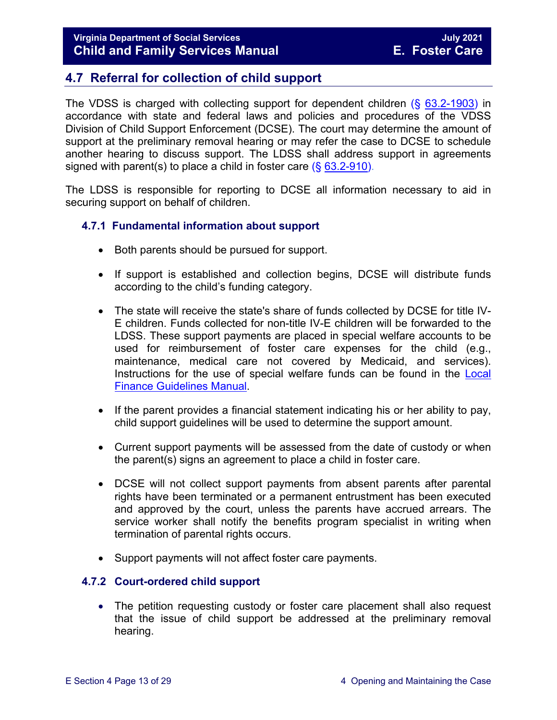## <span id="page-12-0"></span>**4.7 Referral for collection of child support**

The VDSS is charged with collecting support for dependent children (§ [63.2-1903\)](https://law.lis.virginia.gov/vacode/63.2-1903/) in accordance with state and federal laws and policies and procedures of the VDSS Division of Child Support Enforcement (DCSE). The court may determine the amount of support at the preliminary removal hearing or may refer the case to DCSE to schedule another hearing to discuss support. The LDSS shall address support in agreements signed with parent(s) to place a child in foster care  $(\S 63.2-910)$  $(\S 63.2-910)$ .

The LDSS is responsible for reporting to DCSE all information necessary to aid in securing support on behalf of children.

#### <span id="page-12-1"></span>**4.7.1 Fundamental information about support**

- Both parents should be pursued for support.
- If support is established and collection begins, DCSE will distribute funds according to the child's funding category.
- The state will receive the state's share of funds collected by DCSE for title IV-E children. Funds collected for non-title IV-E children will be forwarded to the LDSS. These support payments are placed in special welfare accounts to be used for reimbursement of foster care expenses for the child (e.g., maintenance, medical care not covered by Medicaid, and services). Instructions for the use of special welfare funds can be found in the [Local](https://fusion.dss.virginia.gov/dof/DOF-Home/LOCAL-RESOURCES/Finance-Guidelines-Manual-LDSS)  [Finance Guidelines Manual.](https://fusion.dss.virginia.gov/dof/DOF-Home/LOCAL-RESOURCES/Finance-Guidelines-Manual-LDSS)
- If the parent provides a financial statement indicating his or her ability to pay, child support guidelines will be used to determine the support amount.
- Current support payments will be assessed from the date of custody or when the parent(s) signs an agreement to place a child in foster care.
- DCSE will not collect support payments from absent parents after parental rights have been terminated or a permanent entrustment has been executed and approved by the court, unless the parents have accrued arrears. The service worker shall notify the benefits program specialist in writing when termination of parental rights occurs.
- Support payments will not affect foster care payments.

#### <span id="page-12-2"></span>**4.7.2 Court-ordered child support**

• The petition requesting custody or foster care placement shall also request that the issue of child support be addressed at the preliminary removal hearing.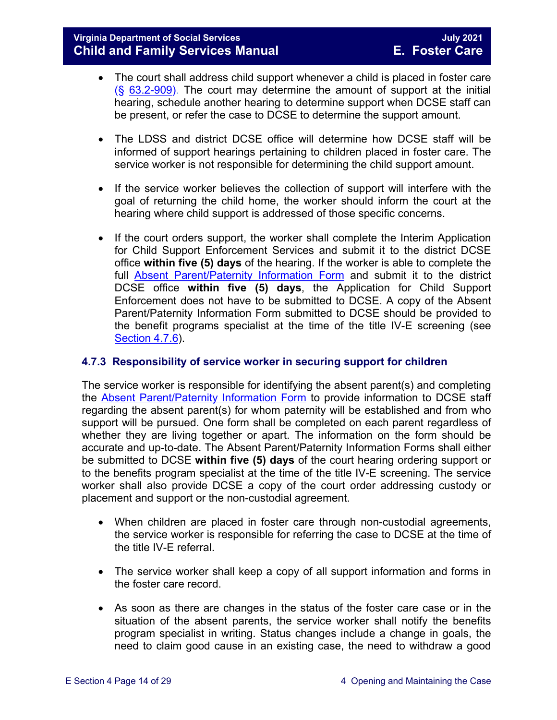- The court shall address child support whenever a child is placed in foster care  $(S$  [63.2-909\)](https://law.lis.virginia.gov/vacode/63.2-909/). The court may determine the amount of support at the initial hearing, schedule another hearing to determine support when DCSE staff can be present, or refer the case to DCSE to determine the support amount.
- The LDSS and district DCSE office will determine how DCSE staff will be informed of support hearings pertaining to children placed in foster care. The service worker is not responsible for determining the child support amount.
- If the service worker believes the collection of support will interfere with the goal of returning the child home, the worker should inform the court at the hearing where child support is addressed of those specific concerns.
- If the court orders support, the worker shall complete the Interim Application for Child Support Enforcement Services and submit it to the district DCSE office **within five (5) days** of the hearing. If the worker is able to complete the full [Absent Parent/Paternity Information Form](https://fusion.dss.virginia.gov/Portals/%5bbp%5d/Files/TANF%20Forms/Absent%20Parent%20Paternity%20Information.pdf?ver=2019-03-30-204002-243) and submit it to the district DCSE office **within five (5) days**, the Application for Child Support Enforcement does not have to be submitted to DCSE. A copy of the Absent Parent/Paternity Information Form submitted to DCSE should be provided to the benefit programs specialist at the time of the title IV-E screening (see [Section 4.7.6\)](#page-15-1).

#### <span id="page-13-0"></span>**4.7.3 Responsibility of service worker in securing support for children**

The service worker is responsible for identifying the absent parent(s) and completing the [Absent Parent/Paternity Information Form](https://fusion.dss.virginia.gov/Portals/%5bbp%5d/Files/TANF%20Forms/Absent%20Parent%20Paternity%20Information.pdf?ver=2019-03-30-204002-243) to provide information to DCSE staff regarding the absent parent(s) for whom paternity will be established and from who support will be pursued. One form shall be completed on each parent regardless of whether they are living together or apart. The information on the form should be accurate and up-to-date. The Absent Parent/Paternity Information Forms shall either be submitted to DCSE **within five (5) days** of the court hearing ordering support or to the benefits program specialist at the time of the title IV-E screening. The service worker shall also provide DCSE a copy of the court order addressing custody or placement and support or the non-custodial agreement.

- When children are placed in foster care through non-custodial agreements, the service worker is responsible for referring the case to DCSE at the time of the title IV-E referral.
- The service worker shall keep a copy of all support information and forms in the foster care record.
- As soon as there are changes in the status of the foster care case or in the situation of the absent parents, the service worker shall notify the benefits program specialist in writing. Status changes include a change in goals, the need to claim good cause in an existing case, the need to withdraw a good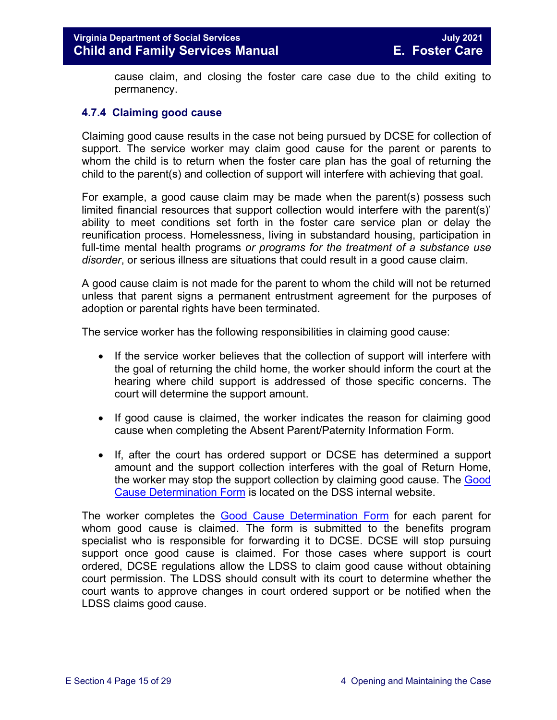cause claim, and closing the foster care case due to the child exiting to permanency.

#### <span id="page-14-0"></span>**4.7.4 Claiming good cause**

Claiming good cause results in the case not being pursued by DCSE for collection of support. The service worker may claim good cause for the parent or parents to whom the child is to return when the foster care plan has the goal of returning the child to the parent(s) and collection of support will interfere with achieving that goal.

For example, a good cause claim may be made when the parent(s) possess such limited financial resources that support collection would interfere with the parent(s)' ability to meet conditions set forth in the foster care service plan or delay the reunification process. Homelessness, living in substandard housing, participation in full-time mental health programs *or programs for the treatment of a substance use disorder*, or serious illness are situations that could result in a good cause claim.

A good cause claim is not made for the parent to whom the child will not be returned unless that parent signs a permanent entrustment agreement for the purposes of adoption or parental rights have been terminated.

The service worker has the following responsibilities in claiming good cause:

- If the service worker believes that the collection of support will interfere with the goal of returning the child home, the worker should inform the court at the hearing where child support is addressed of those specific concerns. The court will determine the support amount.
- If good cause is claimed, the worker indicates the reason for claiming good cause when completing the Absent Parent/Paternity Information Form.
- If, after the court has ordered support or DCSE has determined a support amount and the support collection interferes with the goal of Return Home, the worker may stop the support collection by claiming good cause. The [Good](https://fusion.dss.virginia.gov/dfs/DFS-Home/Foster-Care/Foster-Care-Forms)  [Cause Determination Form](https://fusion.dss.virginia.gov/dfs/DFS-Home/Foster-Care/Foster-Care-Forms) is located on the DSS internal website.

The worker completes the [Good Cause Determination Form](https://fusion.dss.virginia.gov/dfs/DFS-Home/Foster-Care/Foster-Care-Forms) for each parent for whom good cause is claimed. The form is submitted to the benefits program specialist who is responsible for forwarding it to DCSE. DCSE will stop pursuing support once good cause is claimed. For those cases where support is court ordered, DCSE regulations allow the LDSS to claim good cause without obtaining court permission. The LDSS should consult with its court to determine whether the court wants to approve changes in court ordered support or be notified when the LDSS claims good cause.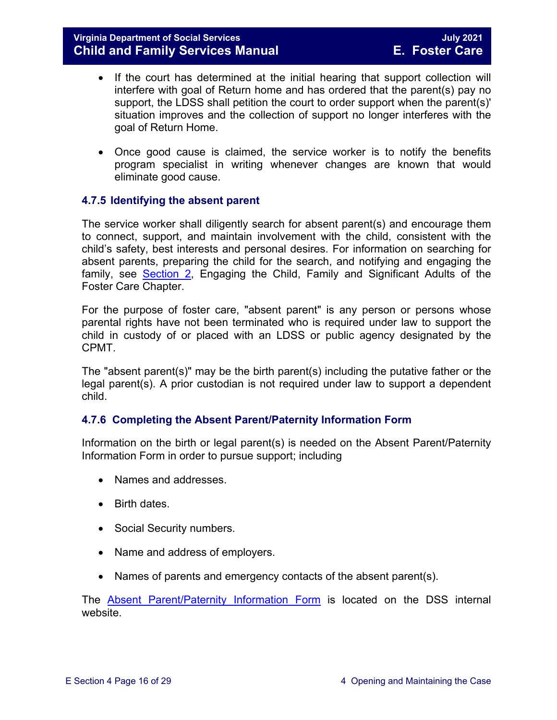- If the court has determined at the initial hearing that support collection will interfere with goal of Return home and has ordered that the parent(s) pay no support, the LDSS shall petition the court to order support when the parent(s)' situation improves and the collection of support no longer interferes with the goal of Return Home.
- Once good cause is claimed, the service worker is to notify the benefits program specialist in writing whenever changes are known that would eliminate good cause.

#### <span id="page-15-0"></span>**4.7.5 Identifying the absent parent**

The service worker shall diligently search for absent parent(s) and encourage them to connect, support, and maintain involvement with the child, consistent with the child's safety, best interests and personal desires. For information on searching for absent parents, preparing the child for the search, and notifying and engaging the family, see [Section 2,](https://fusion.dss.virginia.gov/Portals/%5bdfs%5d/Files/DFS%20Manuals/Foster%20Care%20Manuals/Foster%20Care%20Manual%2007-2020/Final%20Foster%20Care%20Manual%2007-2020/section_2_engaging_the_child_family_and_significant_adults.pdf) Engaging the Child, Family and Significant Adults of the Foster Care Chapter.

For the purpose of foster care, "absent parent" is any person or persons whose parental rights have not been terminated who is required under law to support the child in custody of or placed with an LDSS or public agency designated by the CPMT.

The "absent parent(s)" may be the birth parent(s) including the putative father or the legal parent(s). A prior custodian is not required under law to support a dependent child.

#### <span id="page-15-1"></span>**4.7.6 Completing the Absent Parent/Paternity Information Form**

Information on the birth or legal parent(s) is needed on the Absent Parent/Paternity Information Form in order to pursue support; including

- Names and addresses.
- Birth dates.
- Social Security numbers.
- Name and address of employers.
- Names of parents and emergency contacts of the absent parent(s).

The [Absent Parent/Paternity Information Form](https://fusion.dss.virginia.gov/Portals/%5bbp%5d/Files/TANF%20Forms/Absent%20Parent%20Paternity%20Information.pdf?ver=2019-03-30-204002-243) is located on the DSS internal website.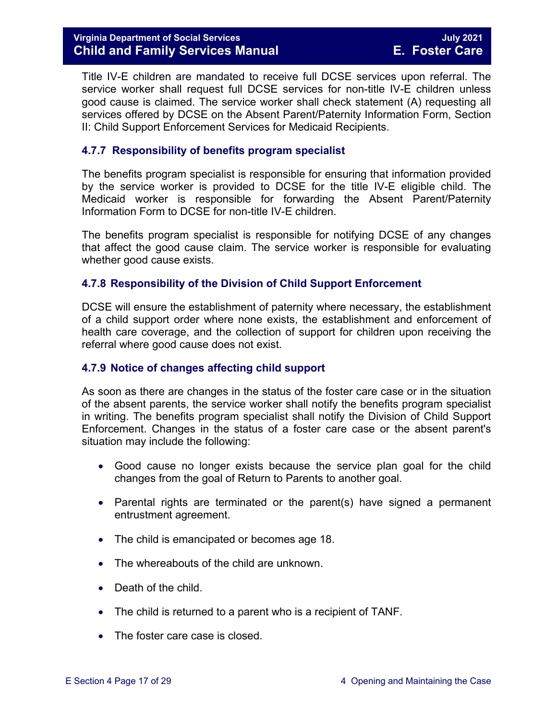#### **Virginia Department of Social Services July 2021 Child and Family Services Manual**

Title IV-E children are mandated to receive full DCSE services upon referral. The service worker shall request full DCSE services for non-title IV-E children unless good cause is claimed. The service worker shall check statement (A) requesting all services offered by DCSE on the Absent Parent/Paternity Information Form, Section II: Child Support Enforcement Services for Medicaid Recipients.

#### <span id="page-16-0"></span>**4.7.7 Responsibility of benefits program specialist**

The benefits program specialist is responsible for ensuring that information provided by the service worker is provided to DCSE for the title IV-E eligible child. The Medicaid worker is responsible for forwarding the Absent Parent/Paternity Information Form to DCSE for non-title IV-E children.

The benefits program specialist is responsible for notifying DCSE of any changes that affect the good cause claim. The service worker is responsible for evaluating whether good cause exists.

#### <span id="page-16-1"></span>**4.7.8 Responsibility of the Division of Child Support Enforcement**

DCSE will ensure the establishment of paternity where necessary, the establishment of a child support order where none exists, the establishment and enforcement of health care coverage, and the collection of support for children upon receiving the referral where good cause does not exist.

#### <span id="page-16-2"></span>**4.7.9 Notice of changes affecting child support**

As soon as there are changes in the status of the foster care case or in the situation of the absent parents, the service worker shall notify the benefits program specialist in writing. The benefits program specialist shall notify the Division of Child Support Enforcement. Changes in the status of a foster care case or the absent parent's situation may include the following:

- Good cause no longer exists because the service plan goal for the child changes from the goal of Return to Parents to another goal.
- Parental rights are terminated or the parent(s) have signed a permanent entrustment agreement.
- The child is emancipated or becomes age 18.
- The whereabouts of the child are unknown.
- Death of the child.
- The child is returned to a parent who is a recipient of TANF.
- The foster care case is closed.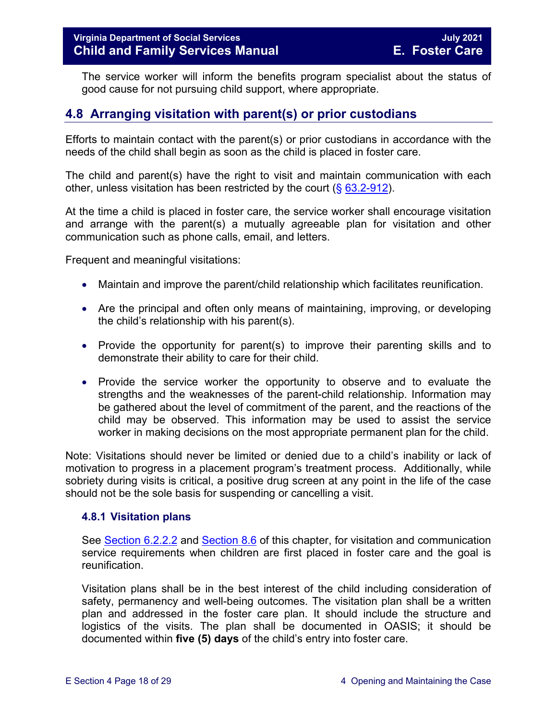The service worker will inform the benefits program specialist about the status of good cause for not pursuing child support, where appropriate.

## <span id="page-17-0"></span>**4.8 Arranging visitation with parent(s) or prior custodians**

Efforts to maintain contact with the parent(s) or prior custodians in accordance with the needs of the child shall begin as soon as the child is placed in foster care.

The child and parent(s) have the right to visit and maintain communication with each other, unless visitation has been restricted by the court  $(\S 63.2-912)$  $(\S 63.2-912)$ .

At the time a child is placed in foster care, the service worker shall encourage visitation and arrange with the parent(s) a mutually agreeable plan for visitation and other communication such as phone calls, email, and letters.

Frequent and meaningful visitations:

- Maintain and improve the parent/child relationship which facilitates reunification.
- Are the principal and often only means of maintaining, improving, or developing the child's relationship with his parent(s).
- Provide the opportunity for parent(s) to improve their parenting skills and to demonstrate their ability to care for their child.
- Provide the service worker the opportunity to observe and to evaluate the strengths and the weaknesses of the parent-child relationship. Information may be gathered about the level of commitment of the parent, and the reactions of the child may be observed. This information may be used to assist the service worker in making decisions on the most appropriate permanent plan for the child.

Note: Visitations should never be limited or denied due to a child's inability or lack of motivation to progress in a placement program's treatment process. Additionally, while sobriety during visits is critical, a positive drug screen at any point in the life of the case should not be the sole basis for suspending or cancelling a visit.

#### <span id="page-17-1"></span>**4.8.1 Visitation plans**

See [Section 6.2.2.2](https://fusion.dss.virginia.gov/Portals/%5bdfs%5d/Files/DFS%20Manuals/Foster%20Care%20Manuals/Foster%20Care%20Manual%2007-2020/Final%20Foster%20Care%20Manual%2007-2020/section_6_placement_to_achieve_permanency.pdf#page=7) and [Section 8.6](https://fusion.dss.virginia.gov/Portals/%5bdfs%5d/Files/DFS%20Manuals/Foster%20Care%20Manuals/Foster%20Care%20Manual%2007-2019/section_8_achieving_permanency_goal_return_home.pdf#page=10) of this chapter, for visitation and communication service requirements when children are first placed in foster care and the goal is reunification.

Visitation plans shall be in the best interest of the child including consideration of safety, permanency and well-being outcomes. The visitation plan shall be a written plan and addressed in the foster care plan. It should include the structure and logistics of the visits. The plan shall be documented in OASIS; it should be documented within **five (5) days** of the child's entry into foster care.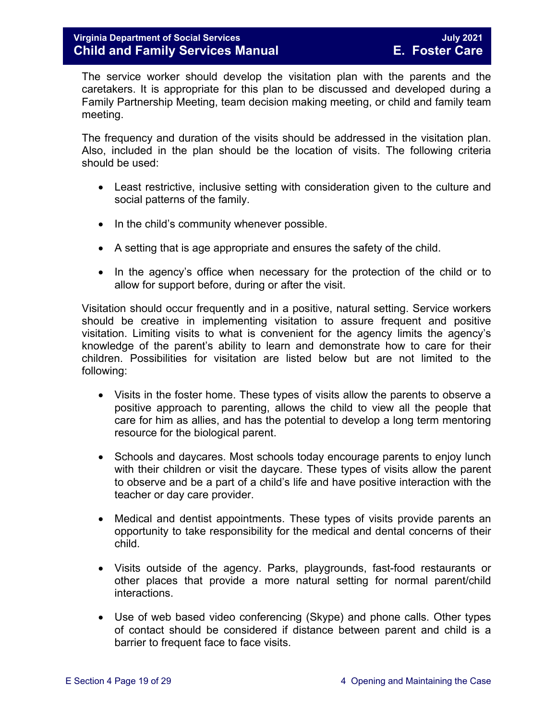The service worker should develop the visitation plan with the parents and the caretakers. It is appropriate for this plan to be discussed and developed during a Family Partnership Meeting, team decision making meeting, or child and family team meeting.

The frequency and duration of the visits should be addressed in the visitation plan. Also, included in the plan should be the location of visits. The following criteria should be used:

- Least restrictive, inclusive setting with consideration given to the culture and social patterns of the family.
- In the child's community whenever possible.
- A setting that is age appropriate and ensures the safety of the child.
- In the agency's office when necessary for the protection of the child or to allow for support before, during or after the visit.

Visitation should occur frequently and in a positive, natural setting. Service workers should be creative in implementing visitation to assure frequent and positive visitation. Limiting visits to what is convenient for the agency limits the agency's knowledge of the parent's ability to learn and demonstrate how to care for their children. Possibilities for visitation are listed below but are not limited to the following:

- Visits in the foster home. These types of visits allow the parents to observe a positive approach to parenting, allows the child to view all the people that care for him as allies, and has the potential to develop a long term mentoring resource for the biological parent.
- Schools and daycares. Most schools today encourage parents to enjoy lunch with their children or visit the daycare. These types of visits allow the parent to observe and be a part of a child's life and have positive interaction with the teacher or day care provider.
- Medical and dentist appointments. These types of visits provide parents an opportunity to take responsibility for the medical and dental concerns of their child.
- Visits outside of the agency. Parks, playgrounds, fast-food restaurants or other places that provide a more natural setting for normal parent/child interactions.
- Use of web based video conferencing (Skype) and phone calls. Other types of contact should be considered if distance between parent and child is a barrier to frequent face to face visits.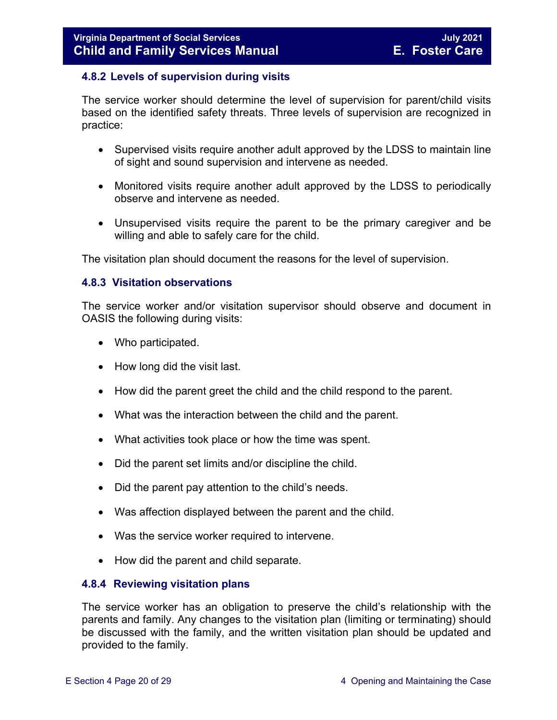#### <span id="page-19-0"></span>**4.8.2 Levels of supervision during visits**

The service worker should determine the level of supervision for parent/child visits based on the identified safety threats. Three levels of supervision are recognized in practice:

- Supervised visits require another adult approved by the LDSS to maintain line of sight and sound supervision and intervene as needed.
- Monitored visits require another adult approved by the LDSS to periodically observe and intervene as needed.
- Unsupervised visits require the parent to be the primary caregiver and be willing and able to safely care for the child.

The visitation plan should document the reasons for the level of supervision.

#### <span id="page-19-1"></span>**4.8.3 Visitation observations**

The service worker and/or visitation supervisor should observe and document in OASIS the following during visits:

- Who participated.
- How long did the visit last.
- How did the parent greet the child and the child respond to the parent.
- What was the interaction between the child and the parent.
- What activities took place or how the time was spent.
- Did the parent set limits and/or discipline the child.
- Did the parent pay attention to the child's needs.
- Was affection displayed between the parent and the child.
- Was the service worker required to intervene.
- <span id="page-19-2"></span>• How did the parent and child separate.

#### **4.8.4 Reviewing visitation plans**

The service worker has an obligation to preserve the child's relationship with the parents and family. Any changes to the visitation plan (limiting or terminating) should be discussed with the family, and the written visitation plan should be updated and provided to the family.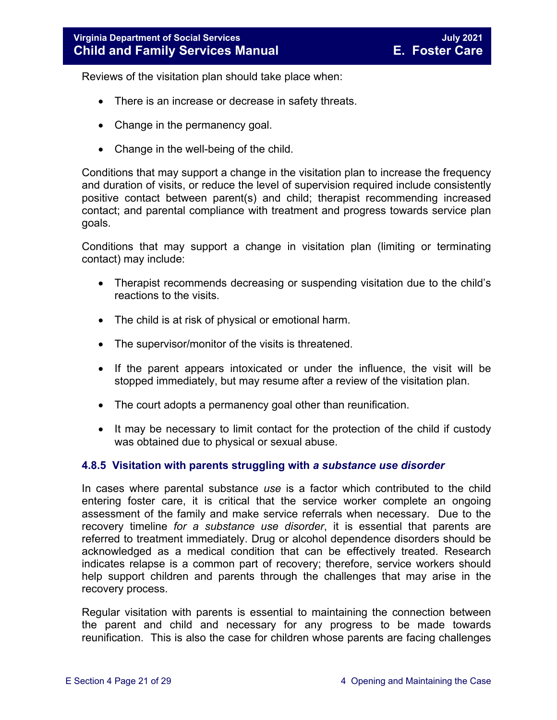Reviews of the visitation plan should take place when:

- There is an increase or decrease in safety threats.
- Change in the permanency goal.
- Change in the well-being of the child.

Conditions that may support a change in the visitation plan to increase the frequency and duration of visits, or reduce the level of supervision required include consistently positive contact between parent(s) and child; therapist recommending increased contact; and parental compliance with treatment and progress towards service plan goals.

Conditions that may support a change in visitation plan (limiting or terminating contact) may include:

- Therapist recommends decreasing or suspending visitation due to the child's reactions to the visits.
- The child is at risk of physical or emotional harm.
- The supervisor/monitor of the visits is threatened.
- If the parent appears intoxicated or under the influence, the visit will be stopped immediately, but may resume after a review of the visitation plan.
- The court adopts a permanency goal other than reunification.
- It may be necessary to limit contact for the protection of the child if custody was obtained due to physical or sexual abuse.

#### <span id="page-20-0"></span>**4.8.5 Visitation with parents struggling with** *a substance use disorder*

In cases where parental substance *use* is a factor which contributed to the child entering foster care, it is critical that the service worker complete an ongoing assessment of the family and make service referrals when necessary. Due to the recovery timeline *for a substance use disorder*, it is essential that parents are referred to treatment immediately. Drug or alcohol dependence disorders should be acknowledged as a medical condition that can be effectively treated. Research indicates relapse is a common part of recovery; therefore, service workers should help support children and parents through the challenges that may arise in the recovery process.

Regular visitation with parents is essential to maintaining the connection between the parent and child and necessary for any progress to be made towards reunification. This is also the case for children whose parents are facing challenges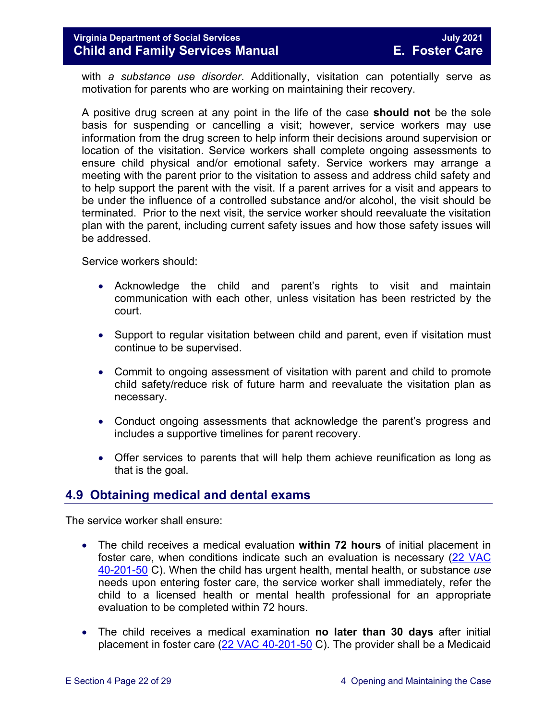#### **Virginia Department of Social Services July 2021 Child and Family Services Manual E. Foster Care**

with *a substance use disorder*. Additionally, visitation can potentially serve as motivation for parents who are working on maintaining their recovery.

A positive drug screen at any point in the life of the case **should not** be the sole basis for suspending or cancelling a visit; however, service workers may use information from the drug screen to help inform their decisions around supervision or location of the visitation. Service workers shall complete ongoing assessments to ensure child physical and/or emotional safety. Service workers may arrange a meeting with the parent prior to the visitation to assess and address child safety and to help support the parent with the visit. If a parent arrives for a visit and appears to be under the influence of a controlled substance and/or alcohol, the visit should be terminated. Prior to the next visit, the service worker should reevaluate the visitation plan with the parent, including current safety issues and how those safety issues will be addressed.

Service workers should:

- Acknowledge the child and parent's rights to visit and maintain communication with each other, unless visitation has been restricted by the court.
- Support to regular visitation between child and parent, even if visitation must continue to be supervised.
- Commit to ongoing assessment of visitation with parent and child to promote child safety/reduce risk of future harm and reevaluate the visitation plan as necessary.
- Conduct ongoing assessments that acknowledge the parent's progress and includes a supportive timelines for parent recovery.
- Offer services to parents that will help them achieve reunification as long as that is the goal.

#### <span id="page-21-0"></span>**4.9 Obtaining medical and dental exams**

The service worker shall ensure:

- The child receives a medical evaluation **within 72 hours** of initial placement in foster care, when conditions indicate such an evaluation is necessary [\(22 VAC](http://leg1.state.va.us/cgi-bin/legp504.exe?000+reg+22VAC40-201-50)  [40-201-50](http://leg1.state.va.us/cgi-bin/legp504.exe?000+reg+22VAC40-201-50) C). When the child has urgent health, mental health, or substance *use* needs upon entering foster care, the service worker shall immediately, refer the child to a licensed health or mental health professional for an appropriate evaluation to be completed within 72 hours.
- The child receives a medical examination **no later than 30 days** after initial placement in foster care [\(22 VAC 40-201-50](http://leg1.state.va.us/cgi-bin/legp504.exe?000+reg+22VAC40-201-50) C). The provider shall be a Medicaid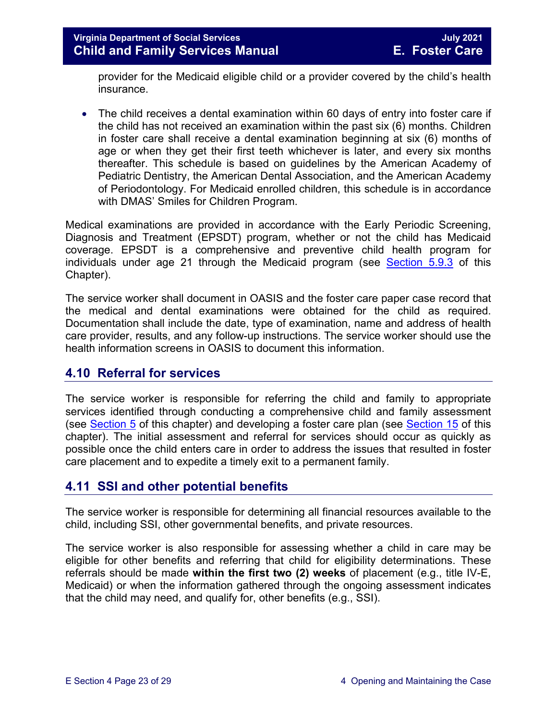provider for the Medicaid eligible child or a provider covered by the child's health insurance.

• The child receives a dental examination within 60 days of entry into foster care if the child has not received an examination within the past six (6) months. Children in foster care shall receive a dental examination beginning at six (6) months of age or when they get their first teeth whichever is later, and every six months thereafter. This schedule is based on guidelines by the American Academy of Pediatric Dentistry, the American Dental Association, and the American Academy of Periodontology. For Medicaid enrolled children, this schedule is in accordance with DMAS' Smiles for Children Program.

Medical examinations are provided in accordance with the Early Periodic Screening, Diagnosis and Treatment (EPSDT) program, whether or not the child has Medicaid coverage. EPSDT is a comprehensive and preventive child health program for individuals under age 21 through the Medicaid program (see [Section 5.9.3](https://fusion.dss.virginia.gov/Portals/%5bdfs%5d/Files/DFS%20Manuals/Foster%20Care%20Manuals/Foster%20Care%20Manual%2007-2020/Final%20Foster%20Care%20Manual%2007-2020/section_5_conducting_child_and_family_assessment.pdf#page=21) of this Chapter).

The service worker shall document in OASIS and the foster care paper case record that the medical and dental examinations were obtained for the child as required. Documentation shall include the date, type of examination, name and address of health care provider, results, and any follow-up instructions. The service worker should use the health information screens in OASIS to document this information.

## <span id="page-22-0"></span>**4.10 Referral for services**

The service worker is responsible for referring the child and family to appropriate services identified through conducting a comprehensive child and family assessment (see [Section 5](https://fusion.dss.virginia.gov/Portals/%5bdfs%5d/Files/DFS%20Manuals/Foster%20Care%20Manuals/Foster%20Care%20Manual%2007-2020/Final%20Foster%20Care%20Manual%2007-2020/section_5_conducting_child_and_family_assessment.pdf) of this chapter) and developing a foster care plan (see [Section 15](https://fusion.dss.virginia.gov/Portals/%5bdfs%5d/Files/DFS%20Manuals/Foster%20Care%20Manuals/Foster%20Care%20Manual%2007-2020/Final%20Foster%20Care%20Manual%2007-2020/section_15_developing_service_plan.pdf) of this chapter). The initial assessment and referral for services should occur as quickly as possible once the child enters care in order to address the issues that resulted in foster care placement and to expedite a timely exit to a permanent family.

## <span id="page-22-1"></span>**4.11 SSI and other potential benefits**

The service worker is responsible for determining all financial resources available to the child, including SSI, other governmental benefits, and private resources.

The service worker is also responsible for assessing whether a child in care may be eligible for other benefits and referring that child for eligibility determinations. These referrals should be made **within the first two (2) weeks** of placement (e.g., title IV-E, Medicaid) or when the information gathered through the ongoing assessment indicates that the child may need, and qualify for, other benefits (e.g., SSI).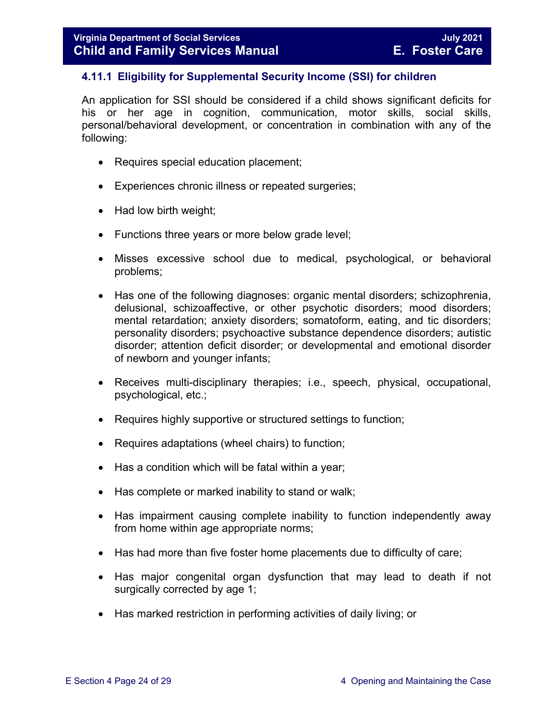#### <span id="page-23-0"></span>**4.11.1 Eligibility for Supplemental Security Income (SSI) for children**

An application for SSI should be considered if a child shows significant deficits for his or her age in cognition, communication, motor skills, social skills, personal/behavioral development, or concentration in combination with any of the following:

- Requires special education placement;
- Experiences chronic illness or repeated surgeries;
- Had low birth weight;
- Functions three years or more below grade level;
- Misses excessive school due to medical, psychological, or behavioral problems;
- Has one of the following diagnoses: organic mental disorders; schizophrenia, delusional, schizoaffective, or other psychotic disorders; mood disorders; mental retardation; anxiety disorders; somatoform, eating, and tic disorders; personality disorders; psychoactive substance dependence disorders; autistic disorder; attention deficit disorder; or developmental and emotional disorder of newborn and younger infants;
- Receives multi-disciplinary therapies; i.e., speech, physical, occupational, psychological, etc.;
- Requires highly supportive or structured settings to function;
- Requires adaptations (wheel chairs) to function;
- Has a condition which will be fatal within a year;
- Has complete or marked inability to stand or walk;
- Has impairment causing complete inability to function independently away from home within age appropriate norms;
- Has had more than five foster home placements due to difficulty of care;
- Has major congenital organ dysfunction that may lead to death if not surgically corrected by age 1;
- Has marked restriction in performing activities of daily living; or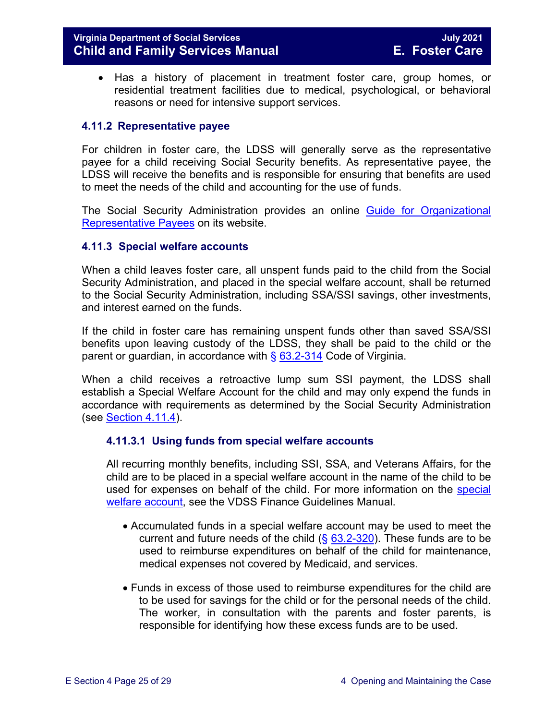#### **Virginia Department of Social Services July 2021 Child and Family Services Manual**

• Has a history of placement in treatment foster care, group homes, or residential treatment facilities due to medical, psychological, or behavioral reasons or need for intensive support services.

#### <span id="page-24-0"></span>**4.11.2 Representative payee**

For children in foster care, the LDSS will generally serve as the representative payee for a child receiving Social Security benefits. As representative payee, the LDSS will receive the benefits and is responsible for ensuring that benefits are used to meet the needs of the child and accounting for the use of funds.

The Social Security Administration provides an online [Guide for Organizational](https://www.ssa.gov/payee/NewGuide/toc.htm)  [Representative Payees](https://www.ssa.gov/payee/NewGuide/toc.htm) on its website.

#### <span id="page-24-1"></span>**4.11.3 Special welfare accounts**

When a child leaves foster care, all unspent funds paid to the child from the Social Security Administration, and placed in the special welfare account, shall be returned to the Social Security Administration, including SSA/SSI savings, other investments, and interest earned on the funds.

If the child in foster care has remaining unspent funds other than saved SSA/SSI benefits upon leaving custody of the LDSS, they shall be paid to the child or the parent or guardian, in accordance with  $\S$  [63.2-314](https://law.lis.virginia.gov/vacode/63.2-314/) Code of Virginia.

When a child receives a retroactive lump sum SSI payment, the LDSS shall establish a Special Welfare Account for the child and may only expend the funds in accordance with requirements as determined by the Social Security Administration (see [Section](#page-25-1) 4.11.4).

#### <span id="page-24-2"></span>**4.11.3.1 Using funds from special welfare accounts**

All recurring monthly benefits, including SSI, SSA, and Veterans Affairs, for the child are to be placed in a special welfare account in the name of the child to be used for expenses on behalf of the child. For more information on the [special](https://fusion.dss.virginia.gov/dof/DOF-Home/LOCAL-RESOURCES/Local-Finance-Guidance-Manual)  [welfare account,](https://fusion.dss.virginia.gov/dof/DOF-Home/LOCAL-RESOURCES/Local-Finance-Guidance-Manual) see the VDSS Finance Guidelines Manual.

- Accumulated funds in a special welfare account may be used to meet the current and future needs of the child  $(\S$  [63.2-320\)](https://law.lis.virginia.gov/vacode/63.2-320/). These funds are to be used to reimburse expenditures on behalf of the child for maintenance, medical expenses not covered by Medicaid, and services.
- Funds in excess of those used to reimburse expenditures for the child are to be used for savings for the child or for the personal needs of the child. The worker, in consultation with the parents and foster parents, is responsible for identifying how these excess funds are to be used.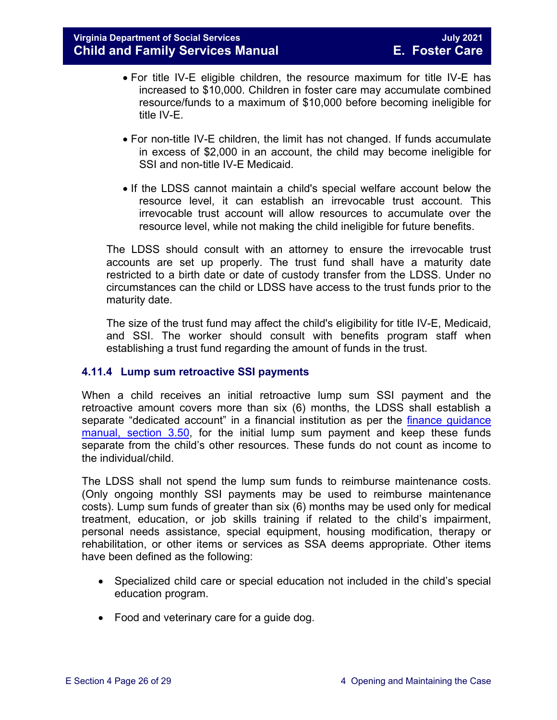- For title IV-E eligible children, the resource maximum for title IV-E has increased to \$10,000. Children in foster care may accumulate combined resource/funds to a maximum of \$10,000 before becoming ineligible for title IV-E.
- For non-title IV-E children, the limit has not changed. If funds accumulate in excess of \$2,000 in an account, the child may become ineligible for SSI and non-title IV-E Medicaid.
- If the LDSS cannot maintain a child's special welfare account below the resource level, it can establish an irrevocable trust account. This irrevocable trust account will allow resources to accumulate over the resource level, while not making the child ineligible for future benefits.

The LDSS should consult with an attorney to ensure the irrevocable trust accounts are set up properly. The trust fund shall have a maturity date restricted to a birth date or date of custody transfer from the LDSS. Under no circumstances can the child or LDSS have access to the trust funds prior to the maturity date.

The size of the trust fund may affect the child's eligibility for title IV-E, Medicaid, and SSI. The worker should consult with benefits program staff when establishing a trust fund regarding the amount of funds in the trust.

#### <span id="page-25-1"></span><span id="page-25-0"></span>**4.11.4 Lump sum retroactive SSI payments**

When a child receives an initial retroactive lump sum SSI payment and the retroactive amount covers more than six (6) months, the LDSS shall establish a separate "dedicated account" in a financial institution as per the finance quidance [manual, section 3.50,](https://fusion.dss.virginia.gov/dof/DOF-Home/LOCAL-RESOURCES/Local-Finance-Guidance-Manual) for the initial lump sum payment and keep these funds separate from the child's other resources. These funds do not count as income to the individual/child.

The LDSS shall not spend the lump sum funds to reimburse maintenance costs. (Only ongoing monthly SSI payments may be used to reimburse maintenance costs). Lump sum funds of greater than six (6) months may be used only for medical treatment, education, or job skills training if related to the child's impairment, personal needs assistance, special equipment, housing modification, therapy or rehabilitation, or other items or services as SSA deems appropriate. Other items have been defined as the following:

- Specialized child care or special education not included in the child's special education program.
- Food and veterinary care for a quide dog.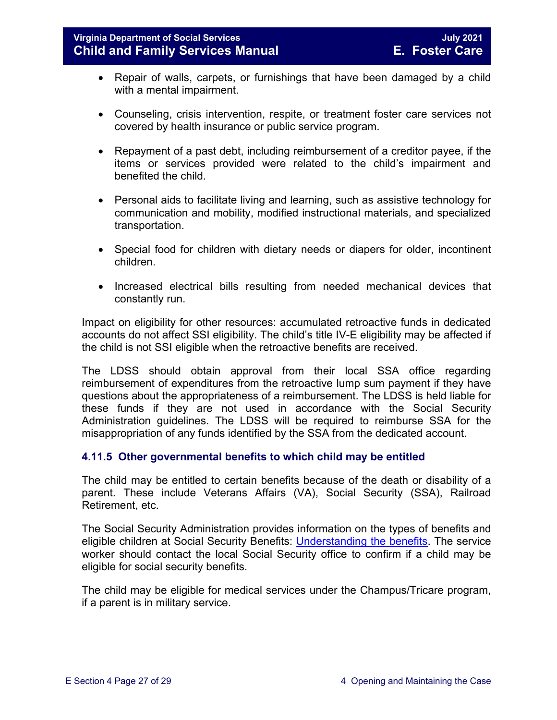- Repair of walls, carpets, or furnishings that have been damaged by a child with a mental impairment.
- Counseling, crisis intervention, respite, or treatment foster care services not covered by health insurance or public service program.
- Repayment of a past debt, including reimbursement of a creditor payee, if the items or services provided were related to the child's impairment and benefited the child.
- Personal aids to facilitate living and learning, such as assistive technology for communication and mobility, modified instructional materials, and specialized transportation.
- Special food for children with dietary needs or diapers for older, incontinent children.
- Increased electrical bills resulting from needed mechanical devices that constantly run.

Impact on eligibility for other resources: accumulated retroactive funds in dedicated accounts do not affect SSI eligibility. The child's title IV-E eligibility may be affected if the child is not SSI eligible when the retroactive benefits are received.

The LDSS should obtain approval from their local SSA office regarding reimbursement of expenditures from the retroactive lump sum payment if they have questions about the appropriateness of a reimbursement. The LDSS is held liable for these funds if they are not used in accordance with the Social Security Administration guidelines. The LDSS will be required to reimburse SSA for the misappropriation of any funds identified by the SSA from the dedicated account.

#### <span id="page-26-0"></span>**4.11.5 Other governmental benefits to which child may be entitled**

The child may be entitled to certain benefits because of the death or disability of a parent. These include Veterans Affairs (VA), Social Security (SSA), Railroad Retirement, etc.

The Social Security Administration provides information on the types of benefits and eligible children at Social Security Benefits: [Understanding the benefits.](https://www.ssa.gov/pubs/EN-05-10024.pdf) The service worker should contact the local Social Security office to confirm if a child may be eligible for social security benefits.

The child may be eligible for medical services under the Champus/Tricare program, if a parent is in military service.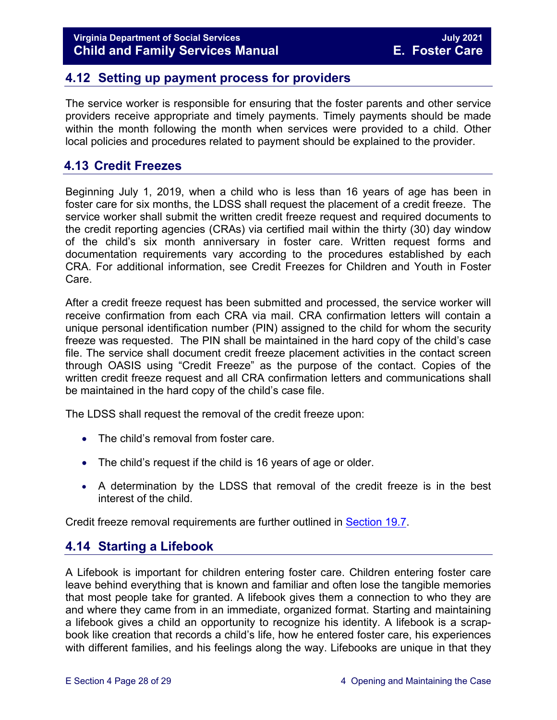## <span id="page-27-0"></span>**4.12 Setting up payment process for providers**

The service worker is responsible for ensuring that the foster parents and other service providers receive appropriate and timely payments. Timely payments should be made within the month following the month when services were provided to a child. Other local policies and procedures related to payment should be explained to the provider.

## <span id="page-27-1"></span>**4.13 Credit Freezes**

Beginning July 1, 2019, when a child who is less than 16 years of age has been in foster care for six months, the LDSS shall request the placement of a credit freeze. The service worker shall submit the written credit freeze request and required documents to the credit reporting agencies (CRAs) via certified mail within the thirty (30) day window of the child's six month anniversary in foster care. Written request forms and documentation requirements vary according to the procedures established by each CRA. For additional information, see Credit Freezes for Children and Youth in Foster Care.

After a credit freeze request has been submitted and processed, the service worker will receive confirmation from each CRA via mail. CRA confirmation letters will contain a unique personal identification number (PIN) assigned to the child for whom the security freeze was requested. The PIN shall be maintained in the hard copy of the child's case file. The service shall document credit freeze placement activities in the contact screen through OASIS using "Credit Freeze" as the purpose of the contact. Copies of the written credit freeze request and all CRA confirmation letters and communications shall be maintained in the hard copy of the child's case file.

The LDSS shall request the removal of the credit freeze upon:

- The child's removal from foster care.
- The child's request if the child is 16 years of age or older.
- A determination by the LDSS that removal of the credit freeze is in the best interest of the child.

Credit freeze removal requirements are further outlined in [Section 19.7.](https://fusion.dss.virginia.gov/Portals/%5bdfs%5d/Files/DFS%20Manuals/Foster%20Care%20Manuals/Foster%20Care%20Manual%2007-2020/Final%20Foster%20Care%20Manual%2007-2020/section_19_closing_a_case_to_foster_care.pdf#page=3)

## <span id="page-27-2"></span>**4.14 Starting a Lifebook**

A Lifebook is important for children entering foster care. Children entering foster care leave behind everything that is known and familiar and often lose the tangible memories that most people take for granted. A lifebook gives them a connection to who they are and where they came from in an immediate, organized format. Starting and maintaining a lifebook gives a child an opportunity to recognize his identity. A lifebook is a scrapbook like creation that records a child's life, how he entered foster care, his experiences with different families, and his feelings along the way. Lifebooks are unique in that they